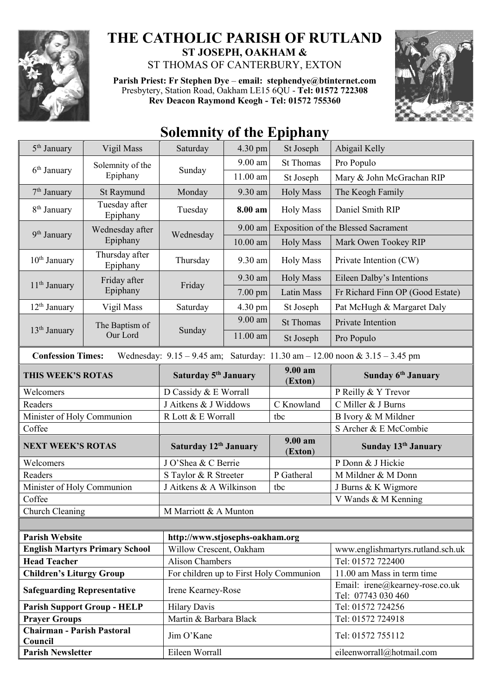

## **THE CATHOLIC PARISH OF RUTLAND ST JOSEPH, OAKHAM &**

ST THOMAS OF CANTERBURY, EXTON

**Parish Priest: Fr Stephen Dye** – **[email: stephendye@btinternet.com](mailto:email:%20%20stephendye@btinternet.com)** Presbytery, Station Road, Oakham LE15 6QU - **Tel: 01572 722308 Rev Deacon Raymond Keogh - Tel: 01572 755360**



## **Solemnity of the Epiphany**

| 5 <sup>th</sup> January                                                                                         | Vigil Mass                            | Saturday                                | 4.30 pm    | St Joseph                                  | Abigail Kelly                                         |  |
|-----------------------------------------------------------------------------------------------------------------|---------------------------------------|-----------------------------------------|------------|--------------------------------------------|-------------------------------------------------------|--|
| $6th$ January                                                                                                   | Solemnity of the<br>Epiphany          | Sunday                                  | 9.00 am    | <b>St Thomas</b>                           | Pro Populo                                            |  |
|                                                                                                                 |                                       |                                         | $11.00$ am | St Joseph                                  | Mary & John McGrachan RIP                             |  |
| 7 <sup>th</sup> January                                                                                         | St Raymund                            | Monday                                  | 9.30 am    | <b>Holy Mass</b>                           | The Keogh Family                                      |  |
| 8 <sup>th</sup> January                                                                                         | Tuesday after<br>Epiphany             | Tuesday                                 | 8.00 am    | <b>Holy Mass</b>                           | Daniel Smith RIP                                      |  |
| 9 <sup>th</sup> January                                                                                         | Wednesday after<br>Epiphany           | Wednesday                               | $9.00$ am  | <b>Exposition of the Blessed Sacrament</b> |                                                       |  |
|                                                                                                                 |                                       |                                         | $10.00$ am | <b>Holy Mass</b>                           | Mark Owen Tookey RIP                                  |  |
| 10 <sup>th</sup> January                                                                                        | Thursday after<br>Epiphany            | Thursday                                | 9.30 am    | <b>Holy Mass</b>                           | Private Intention (CW)                                |  |
| 11 <sup>th</sup> January                                                                                        | Friday after<br>Epiphany              | Friday                                  | 9.30 am    | <b>Holy Mass</b>                           | Eileen Dalby's Intentions                             |  |
|                                                                                                                 |                                       |                                         | 7.00 pm    | Latin Mass                                 | Fr Richard Finn OP (Good Estate)                      |  |
| $12th$ January                                                                                                  | Vigil Mass                            | Saturday                                | 4.30 pm    | St Joseph                                  | Pat McHugh & Margaret Daly                            |  |
|                                                                                                                 | The Baptism of<br>Our Lord            | Sunday                                  | 9.00 am    | <b>St Thomas</b>                           | Private Intention                                     |  |
| $13th$ January                                                                                                  |                                       |                                         | 11.00 am   | St Joseph                                  | Pro Populo                                            |  |
| Wednesday: $9.15 - 9.45$ am; Saturday: $11.30$ am $- 12.00$ noon & $3.15 - 3.45$ pm<br><b>Confession Times:</b> |                                       |                                         |            |                                            |                                                       |  |
| THIS WEEK'S ROTAS                                                                                               |                                       | Saturday 5 <sup>th</sup> January        |            | 9.00 am<br>(Exton)                         | Sunday 6 <sup>th</sup> January                        |  |
| Welcomers                                                                                                       |                                       | D Cassidy & E Worrall                   |            |                                            | P Reilly & Y Trevor                                   |  |
| Readers                                                                                                         |                                       | J Aitkens & J Widdows                   |            | C Knowland                                 | C Miller & J Burns                                    |  |
| Minister of Holy Communion                                                                                      |                                       | R Lott & E Worrall                      |            | tbc                                        | B Ivory & M Mildner                                   |  |
| Coffee                                                                                                          |                                       |                                         |            |                                            | S Archer & E McCombie                                 |  |
| <b>NEXT WEEK'S ROTAS</b>                                                                                        |                                       | Saturday 12th January                   |            | 9.00 am<br>(Exton)                         | Sunday 13 <sup>th</sup> January                       |  |
| Welcomers                                                                                                       |                                       | J O'Shea & C Berrie                     |            |                                            | P Donn & J Hickie                                     |  |
| Readers                                                                                                         |                                       | S Taylor & R Streeter                   |            | P Gatheral                                 | M Mildner & M Donn                                    |  |
| Minister of Holy Communion                                                                                      |                                       | J Aitkens & A Wilkinson<br>tbc          |            |                                            | J Burns & K Wigmore                                   |  |
| Coffee                                                                                                          |                                       |                                         |            |                                            | V Wands & M Kenning                                   |  |
| Church Cleaning                                                                                                 |                                       | M Marriott & A Munton                   |            |                                            |                                                       |  |
|                                                                                                                 |                                       |                                         |            |                                            |                                                       |  |
| <b>Parish Website</b>                                                                                           |                                       | http://www.stjosephs-oakham.org         |            |                                            |                                                       |  |
|                                                                                                                 | <b>English Martyrs Primary School</b> | Willow Crescent, Oakham                 |            |                                            | www.englishmartyrs.rutland.sch.uk                     |  |
| <b>Head Teacher</b>                                                                                             |                                       | <b>Alison Chambers</b>                  |            |                                            | Tel: 01572 722400                                     |  |
| <b>Children's Liturgy Group</b>                                                                                 |                                       | For children up to First Holy Communion |            |                                            | 11.00 am Mass in term time                            |  |
| <b>Safeguarding Representative</b>                                                                              |                                       | Irene Kearney-Rose                      |            |                                            | Email: irene@kearney-rose.co.uk<br>Tel: 07743 030 460 |  |
|                                                                                                                 | <b>Parish Support Group - HELP</b>    | <b>Hilary Davis</b>                     |            |                                            | Tel: 01572 724256                                     |  |
| <b>Prayer Groups</b>                                                                                            |                                       | Martin & Barbara Black                  |            |                                            | Tel: 01572 724918                                     |  |
| <b>Chairman - Parish Pastoral</b><br>Council                                                                    |                                       | Jim O'Kane                              |            |                                            | Tel: 01572 755112                                     |  |
| <b>Parish Newsletter</b>                                                                                        |                                       | Eileen Worrall                          |            |                                            | eileenworrall@hotmail.com                             |  |